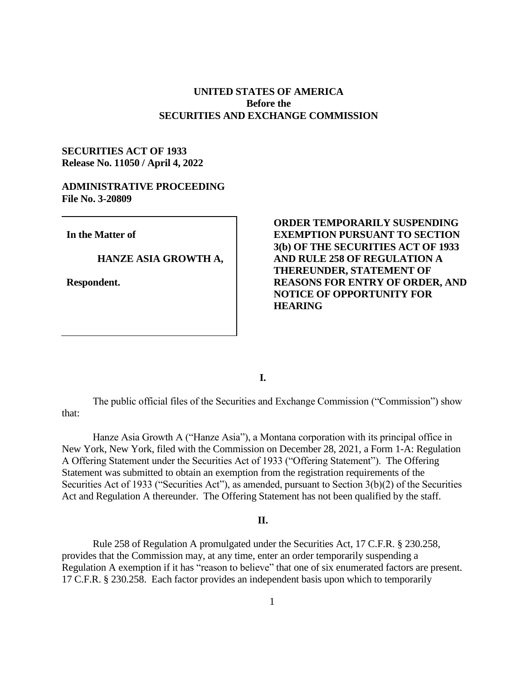# **UNITED STATES OF AMERICA Before the SECURITIES AND EXCHANGE COMMISSION**

# **SECURITIES ACT OF 1933 Release No. 11050 / April 4, 2022**

### **ADMINISTRATIVE PROCEEDING File No. 3-20809**

**In the Matter of**

#### **HANZE ASIA GROWTH A,**

**Respondent.**

**ORDER TEMPORARILY SUSPENDING EXEMPTION PURSUANT TO SECTION 3(b) OF THE SECURITIES ACT OF 1933 AND RULE 258 OF REGULATION A THEREUNDER, STATEMENT OF REASONS FOR ENTRY OF ORDER, AND NOTICE OF OPPORTUNITY FOR HEARING** 

**I.**

The public official files of the Securities and Exchange Commission ("Commission") show that:

Hanze Asia Growth A ("Hanze Asia"), a Montana corporation with its principal office in New York, New York, filed with the Commission on December 28, 2021, a Form 1-A: Regulation A Offering Statement under the Securities Act of 1933 ("Offering Statement"). The Offering Statement was submitted to obtain an exemption from the registration requirements of the Securities Act of 1933 ("Securities Act"), as amended, pursuant to Section 3(b)(2) of the Securities Act and Regulation A thereunder. The Offering Statement has not been qualified by the staff.

#### **II.**

Rule 258 of Regulation A promulgated under the Securities Act, 17 C.F.R. § 230.258, provides that the Commission may, at any time, enter an order temporarily suspending a Regulation A exemption if it has "reason to believe" that one of six enumerated factors are present. 17 C.F.R. § 230.258. Each factor provides an independent basis upon which to temporarily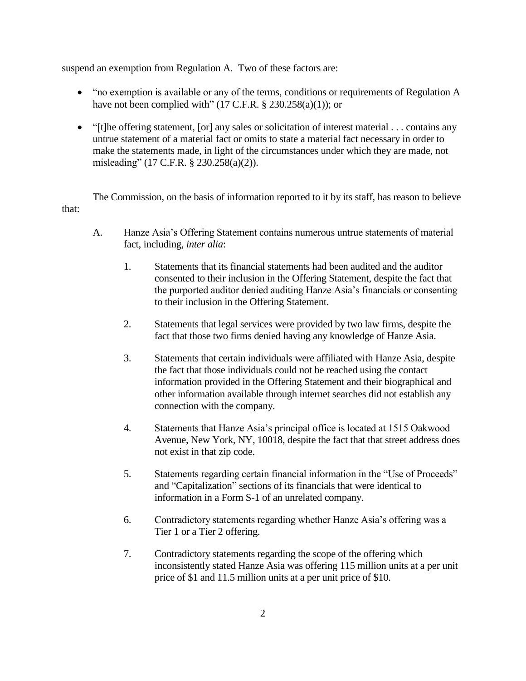suspend an exemption from Regulation A. Two of these factors are:

- "no exemption is available or any of the terms, conditions or requirements of Regulation A have not been complied with" (17 C.F.R.  $\S$  230.258(a)(1)); or
- "[t]he offering statement, [or] any sales or solicitation of interest material . . . contains any untrue statement of a material fact or omits to state a material fact necessary in order to make the statements made, in light of the circumstances under which they are made, not misleading" (17 C.F.R. § 230.258(a)(2)).

The Commission, on the basis of information reported to it by its staff, has reason to believe that:

- A. Hanze Asia's Offering Statement contains numerous untrue statements of material fact, including, *inter alia*:
	- 1. Statements that its financial statements had been audited and the auditor consented to their inclusion in the Offering Statement, despite the fact that the purported auditor denied auditing Hanze Asia's financials or consenting to their inclusion in the Offering Statement.
	- 2. Statements that legal services were provided by two law firms, despite the fact that those two firms denied having any knowledge of Hanze Asia.
	- 3. Statements that certain individuals were affiliated with Hanze Asia, despite the fact that those individuals could not be reached using the contact information provided in the Offering Statement and their biographical and other information available through internet searches did not establish any connection with the company.
	- 4. Statements that Hanze Asia's principal office is located at 1515 Oakwood Avenue, New York, NY, 10018, despite the fact that that street address does not exist in that zip code.
	- 5. Statements regarding certain financial information in the "Use of Proceeds" and "Capitalization" sections of its financials that were identical to information in a Form S-1 of an unrelated company.
	- 6. Contradictory statements regarding whether Hanze Asia's offering was a Tier 1 or a Tier 2 offering.
	- 7. Contradictory statements regarding the scope of the offering which inconsistently stated Hanze Asia was offering 115 million units at a per unit price of \$1 and 11.5 million units at a per unit price of \$10.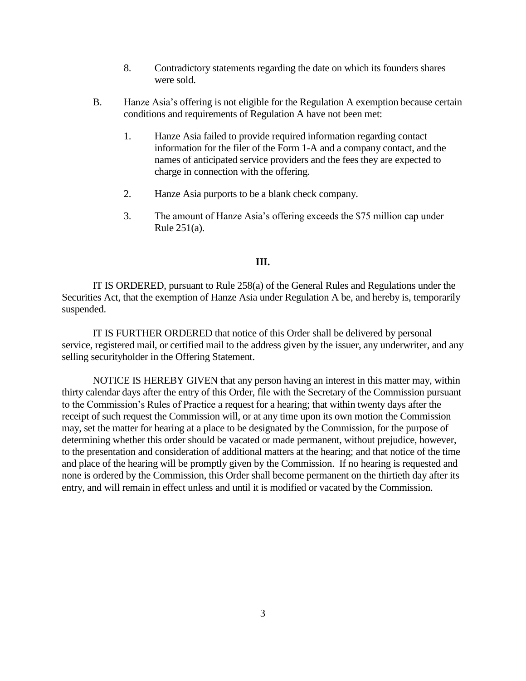- 8. Contradictory statements regarding the date on which its founders shares were sold.
- B. Hanze Asia's offering is not eligible for the Regulation A exemption because certain conditions and requirements of Regulation A have not been met:
	- 1. Hanze Asia failed to provide required information regarding contact information for the filer of the Form 1-A and a company contact, and the names of anticipated service providers and the fees they are expected to charge in connection with the offering.
	- 2. Hanze Asia purports to be a blank check company.
	- 3. The amount of Hanze Asia's offering exceeds the \$75 million cap under Rule 251(a).

### **III.**

IT IS ORDERED, pursuant to Rule 258(a) of the General Rules and Regulations under the Securities Act, that the exemption of Hanze Asia under Regulation A be, and hereby is, temporarily suspended.

IT IS FURTHER ORDERED that notice of this Order shall be delivered by personal service, registered mail, or certified mail to the address given by the issuer, any underwriter, and any selling securityholder in the Offering Statement.

NOTICE IS HEREBY GIVEN that any person having an interest in this matter may, within thirty calendar days after the entry of this Order, file with the Secretary of the Commission pursuant to the Commission's Rules of Practice a request for a hearing; that within twenty days after the receipt of such request the Commission will, or at any time upon its own motion the Commission may, set the matter for hearing at a place to be designated by the Commission, for the purpose of determining whether this order should be vacated or made permanent, without prejudice, however, to the presentation and consideration of additional matters at the hearing; and that notice of the time and place of the hearing will be promptly given by the Commission. If no hearing is requested and none is ordered by the Commission, this Order shall become permanent on the thirtieth day after its entry, and will remain in effect unless and until it is modified or vacated by the Commission.